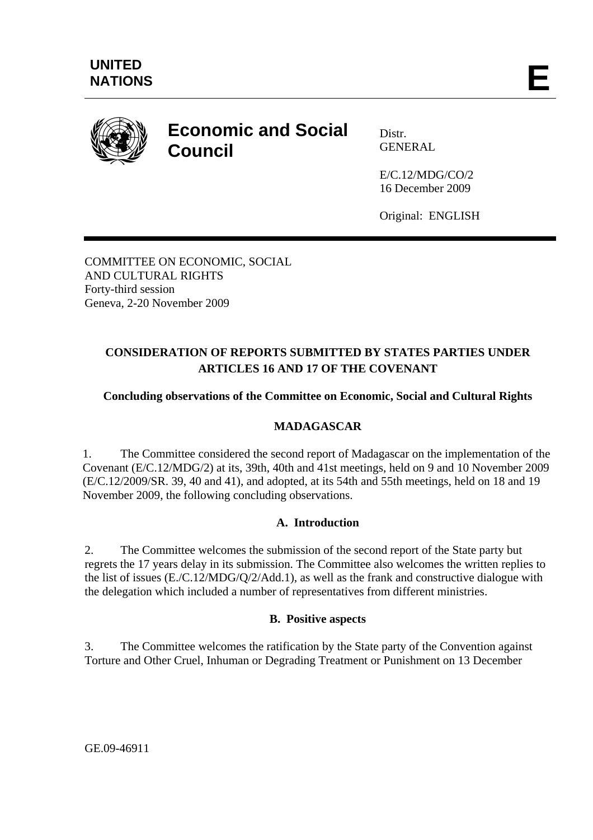

# **Economic and Social Council**

Distr. **GENERAL** 

E/C.12/MDG/CO/2 16 December 2009

Original: ENGLISH

COMMITTEE ON ECONOMIC, SOCIAL AND CULTURAL RIGHTS Forty-third session Geneva, 2-20 November 2009

## **CONSIDERATION OF REPORTS SUBMITTED BY STATES PARTIES UNDER ARTICLES 16 AND 17 OF THE COVENANT**

## **Concluding observations of the Committee on Economic, Social and Cultural Rights**

## **MADAGASCAR**

1. The Committee considered the second report of Madagascar on the implementation of the Covenant (E/C.12/MDG/2) at its, 39th, 40th and 41st meetings, held on 9 and 10 November 2009 (E/C.12/2009/SR. 39, 40 and 41), and adopted, at its 54th and 55th meetings, held on 18 and 19 November 2009, the following concluding observations.

## **A. Introduction**

2. The Committee welcomes the submission of the second report of the State party but regrets the 17 years delay in its submission. The Committee also welcomes the written replies to the list of issues (E./C.12/MDG/Q/2/Add.1), as well as the frank and constructive dialogue with the delegation which included a number of representatives from different ministries.

## **B. Positive aspects**

3. The Committee welcomes the ratification by the State party of the Convention against Torture and Other Cruel, Inhuman or Degrading Treatment or Punishment on 13 December

GE.09-46911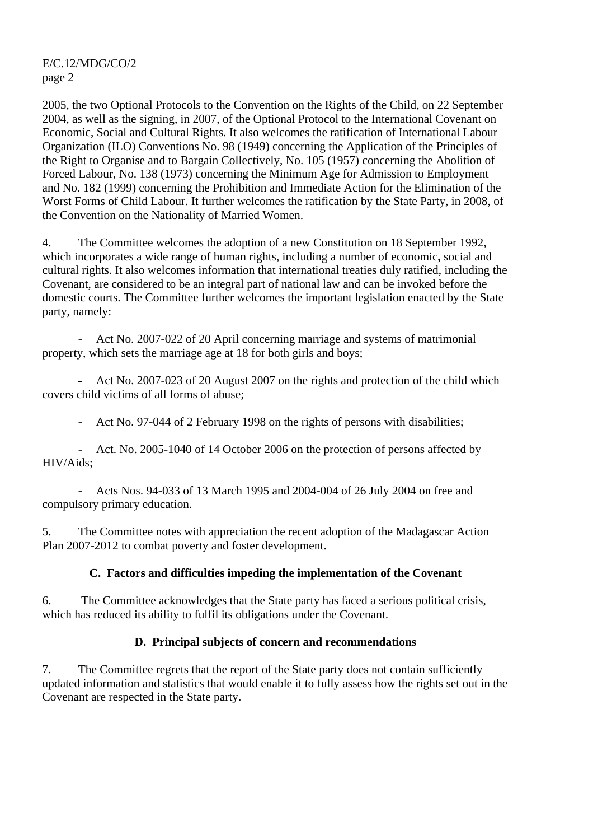2005, the two Optional Protocols to the Convention on the Rights of the Child, on 22 September 2004, as well as the signing, in 2007, of the Optional Protocol to the International Covenant on Economic, Social and Cultural Rights. It also welcomes the ratification of International Labour Organization (ILO) Conventions No. 98 (1949) concerning the Application of the Principles of the Right to Organise and to Bargain Collectively, No. 105 (1957) concerning the Abolition of Forced Labour, No. 138 (1973) concerning the Minimum Age for Admission to Employment and No. 182 (1999) concerning the Prohibition and Immediate Action for the Elimination of the Worst Forms of Child Labour. It further welcomes the ratification by the State Party, in 2008, of the Convention on the Nationality of Married Women.

4. The Committee welcomes the adoption of a new Constitution on 18 September 1992, which incorporates a wide range of human rights, including a number of economic**,** social and cultural rights. It also welcomes information that international treaties duly ratified, including the Covenant, are considered to be an integral part of national law and can be invoked before the domestic courts. The Committee further welcomes the important legislation enacted by the State party, namely:

Act No. 2007-022 of 20 April concerning marriage and systems of matrimonial property, which sets the marriage age at 18 for both girls and boys;

- Act No. 2007-023 of 20 August 2007 on the rights and protection of the child which covers child victims of all forms of abuse;

- Act No. 97-044 of 2 February 1998 on the rights of persons with disabilities;

- Act. No. 2005-1040 of 14 October 2006 on the protection of persons affected by HIV/Aids;

- Acts Nos. 94-033 of 13 March 1995 and 2004-004 of 26 July 2004 on free and compulsory primary education.

5. The Committee notes with appreciation the recent adoption of the Madagascar Action Plan 2007-2012 to combat poverty and foster development.

## **C. Factors and difficulties impeding the implementation of the Covenant**

6. The Committee acknowledges that the State party has faced a serious political crisis, which has reduced its ability to fulfil its obligations under the Covenant.

## **D. Principal subjects of concern and recommendations**

7. The Committee regrets that the report of the State party does not contain sufficiently updated information and statistics that would enable it to fully assess how the rights set out in the Covenant are respected in the State party.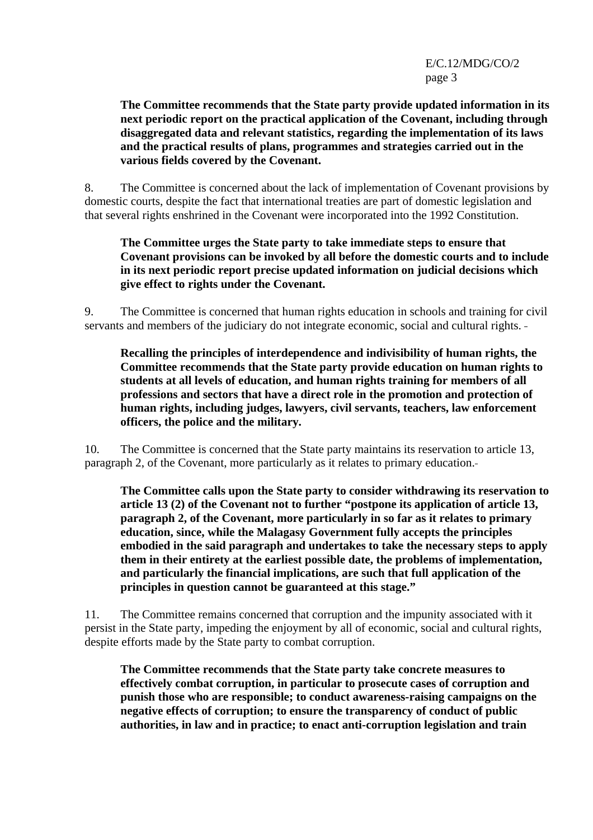**The Committee recommends that the State party provide updated information in its next periodic report on the practical application of the Covenant, including through disaggregated data and relevant statistics, regarding the implementation of its laws and the practical results of plans, programmes and strategies carried out in the various fields covered by the Covenant.** 

8. The Committee is concerned about the lack of implementation of Covenant provisions by domestic courts, despite the fact that international treaties are part of domestic legislation and that several rights enshrined in the Covenant were incorporated into the 1992 Constitution.

#### **The Committee urges the State party to take immediate steps to ensure that Covenant provisions can be invoked by all before the domestic courts and to include in its next periodic report precise updated information on judicial decisions which give effect to rights under the Covenant.**

9. The Committee is concerned that human rights education in schools and training for civil servants and members of the judiciary do not integrate economic, social and cultural rights.

**Recalling the principles of interdependence and indivisibility of human rights, the Committee recommends that the State party provide education on human rights to students at all levels of education, and human rights training for members of all professions and sectors that have a direct role in the promotion and protection of human rights, including judges, lawyers, civil servants, teachers, law enforcement officers, the police and the military.** 

10. The Committee is concerned that the State party maintains its reservation to article 13, paragraph 2, of the Covenant, more particularly as it relates to primary education.

**The Committee calls upon the State party to consider withdrawing its reservation to article 13 (2) of the Covenant not to further "postpone its application of article 13, paragraph 2, of the Covenant, more particularly in so far as it relates to primary education, since, while the Malagasy Government fully accepts the principles embodied in the said paragraph and undertakes to take the necessary steps to apply them in their entirety at the earliest possible date, the problems of implementation, and particularly the financial implications, are such that full application of the principles in question cannot be guaranteed at this stage."** 

11. The Committee remains concerned that corruption and the impunity associated with it persist in the State party, impeding the enjoyment by all of economic, social and cultural rights, despite efforts made by the State party to combat corruption.

**The Committee recommends that the State party take concrete measures to effectively combat corruption, in particular to prosecute cases of corruption and punish those who are responsible; to conduct awareness-raising campaigns on the negative effects of corruption; to ensure the transparency of conduct of public authorities, in law and in practice; to enact anti-corruption legislation and train**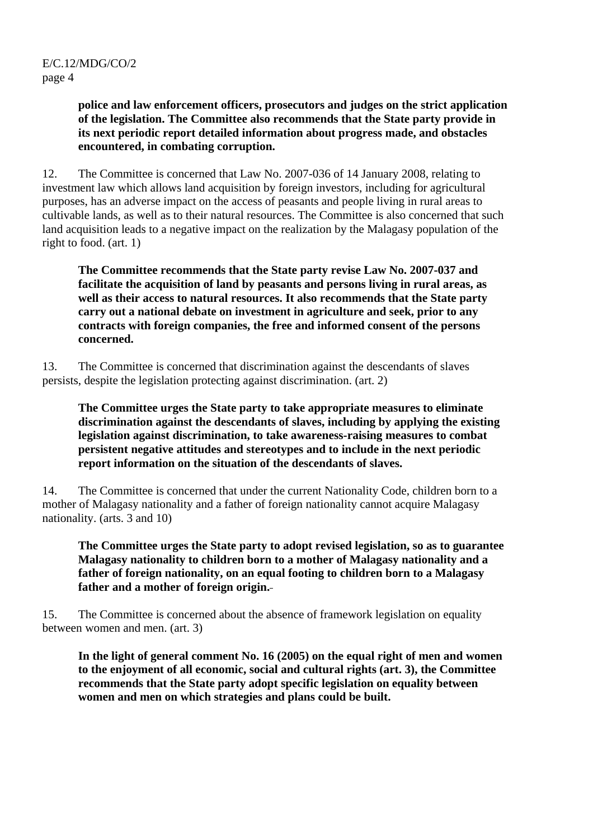**police and law enforcement officers, prosecutors and judges on the strict application of the legislation. The Committee also recommends that the State party provide in its next periodic report detailed information about progress made, and obstacles encountered, in combating corruption.**

12. The Committee is concerned that Law No. 2007-036 of 14 January 2008, relating to investment law which allows land acquisition by foreign investors, including for agricultural purposes, has an adverse impact on the access of peasants and people living in rural areas to cultivable lands, as well as to their natural resources. The Committee is also concerned that such land acquisition leads to a negative impact on the realization by the Malagasy population of the right to food. (art. 1)

**The Committee recommends that the State party revise Law No. 2007-037 and facilitate the acquisition of land by peasants and persons living in rural areas, as well as their access to natural resources. It also recommends that the State party carry out a national debate on investment in agriculture and seek, prior to any contracts with foreign companies, the free and informed consent of the persons concerned.** 

13. The Committee is concerned that discrimination against the descendants of slaves persists, despite the legislation protecting against discrimination. (art. 2)

**The Committee urges the State party to take appropriate measures to eliminate discrimination against the descendants of slaves, including by applying the existing legislation against discrimination, to take awareness-raising measures to combat persistent negative attitudes and stereotypes and to include in the next periodic report information on the situation of the descendants of slaves.** 

14. The Committee is concerned that under the current Nationality Code, children born to a mother of Malagasy nationality and a father of foreign nationality cannot acquire Malagasy nationality. (arts. 3 and 10)

**The Committee urges the State party to adopt revised legislation, so as to guarantee Malagasy nationality to children born to a mother of Malagasy nationality and a father of foreign nationality, on an equal footing to children born to a Malagasy father and a mother of foreign origin.**

15. The Committee is concerned about the absence of framework legislation on equality between women and men. (art. 3)

**In the light of general comment No. 16 (2005) on the equal right of men and women to the enjoyment of all economic, social and cultural rights (art. 3), the Committee recommends that the State party adopt specific legislation on equality between women and men on which strategies and plans could be built.**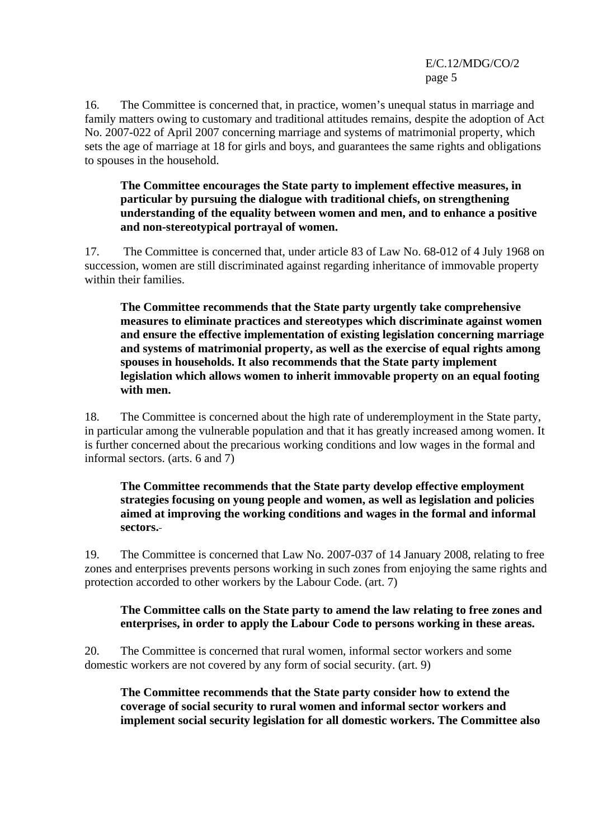16. The Committee is concerned that, in practice, women's unequal status in marriage and family matters owing to customary and traditional attitudes remains, despite the adoption of Act No. 2007-022 of April 2007 concerning marriage and systems of matrimonial property, which sets the age of marriage at 18 for girls and boys, and guarantees the same rights and obligations to spouses in the household.

**The Committee encourages the State party to implement effective measures, in particular by pursuing the dialogue with traditional chiefs, on strengthening understanding of the equality between women and men, and to enhance a positive and non-stereotypical portrayal of women.** 

17. The Committee is concerned that, under article 83 of Law No. 68-012 of 4 July 1968 on succession, women are still discriminated against regarding inheritance of immovable property within their families.

**The Committee recommends that the State party urgently take comprehensive measures to eliminate practices and stereotypes which discriminate against women and ensure the effective implementation of existing legislation concerning marriage and systems of matrimonial property, as well as the exercise of equal rights among spouses in households. It also recommends that the State party implement legislation which allows women to inherit immovable property on an equal footing with men.** 

18. The Committee is concerned about the high rate of underemployment in the State party, in particular among the vulnerable population and that it has greatly increased among women. It is further concerned about the precarious working conditions and low wages in the formal and informal sectors. (arts. 6 and 7)

**The Committee recommends that the State party develop effective employment strategies focusing on young people and women, as well as legislation and policies aimed at improving the working conditions and wages in the formal and informal sectors.**

19. The Committee is concerned that Law No. 2007-037 of 14 January 2008, relating to free zones and enterprises prevents persons working in such zones from enjoying the same rights and protection accorded to other workers by the Labour Code. (art. 7)

#### **The Committee calls on the State party to amend the law relating to free zones and enterprises, in order to apply the Labour Code to persons working in these areas.**

20. The Committee is concerned that rural women, informal sector workers and some domestic workers are not covered by any form of social security. (art. 9)

**The Committee recommends that the State party consider how to extend the coverage of social security to rural women and informal sector workers and implement social security legislation for all domestic workers. The Committee also**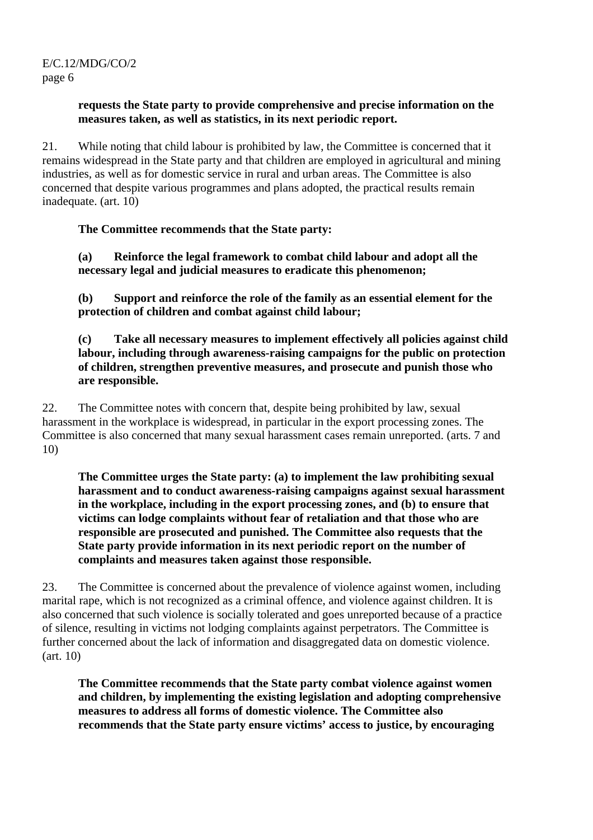#### **requests the State party to provide comprehensive and precise information on the measures taken, as well as statistics, in its next periodic report.**

21. While noting that child labour is prohibited by law, the Committee is concerned that it remains widespread in the State party and that children are employed in agricultural and mining industries, as well as for domestic service in rural and urban areas. The Committee is also concerned that despite various programmes and plans adopted, the practical results remain inadequate. (art. 10)

## **The Committee recommends that the State party:**

**(a) Reinforce the legal framework to combat child labour and adopt all the necessary legal and judicial measures to eradicate this phenomenon;** 

**(b) Support and reinforce the role of the family as an essential element for the protection of children and combat against child labour;** 

**(c) Take all necessary measures to implement effectively all policies against child labour, including through awareness-raising campaigns for the public on protection of children, strengthen preventive measures, and prosecute and punish those who are responsible.** 

22. The Committee notes with concern that, despite being prohibited by law, sexual harassment in the workplace is widespread, in particular in the export processing zones. The Committee is also concerned that many sexual harassment cases remain unreported. (arts. 7 and 10)

**The Committee urges the State party: (a) to implement the law prohibiting sexual harassment and to conduct awareness-raising campaigns against sexual harassment in the workplace, including in the export processing zones, and (b) to ensure that victims can lodge complaints without fear of retaliation and that those who are responsible are prosecuted and punished. The Committee also requests that the State party provide information in its next periodic report on the number of complaints and measures taken against those responsible.** 

23. The Committee is concerned about the prevalence of violence against women, including marital rape, which is not recognized as a criminal offence, and violence against children. It is also concerned that such violence is socially tolerated and goes unreported because of a practice of silence, resulting in victims not lodging complaints against perpetrators. The Committee is further concerned about the lack of information and disaggregated data on domestic violence. (art. 10)

**The Committee recommends that the State party combat violence against women and children, by implementing the existing legislation and adopting comprehensive measures to address all forms of domestic violence. The Committee also recommends that the State party ensure victims' access to justice, by encouraging**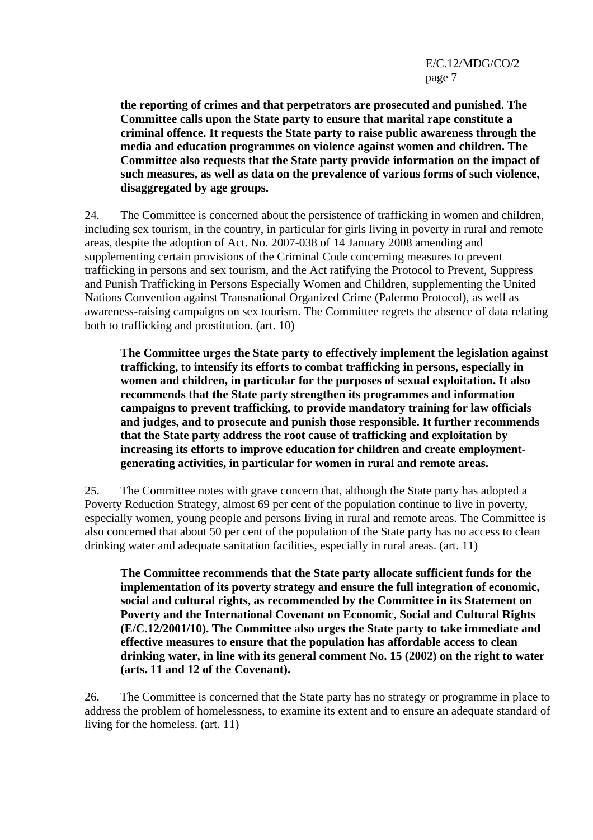**the reporting of crimes and that perpetrators are prosecuted and punished. The Committee calls upon the State party to ensure that marital rape constitute a criminal offence. It requests the State party to raise public awareness through the media and education programmes on violence against women and children. The Committee also requests that the State party provide information on the impact of such measures, as well as data on the prevalence of various forms of such violence, disaggregated by age groups.** 

24. The Committee is concerned about the persistence of trafficking in women and children, including sex tourism, in the country, in particular for girls living in poverty in rural and remote areas, despite the adoption of Act. No. 2007-038 of 14 January 2008 amending and supplementing certain provisions of the Criminal Code concerning measures to prevent trafficking in persons and sex tourism, and the Act ratifying the Protocol to Prevent, Suppress and Punish Trafficking in Persons Especially Women and Children, supplementing the United Nations Convention against Transnational Organized Crime (Palermo Protocol), as well as awareness-raising campaigns on sex tourism. The Committee regrets the absence of data relating both to trafficking and prostitution. (art. 10)

**The Committee urges the State party to effectively implement the legislation against trafficking, to intensify its efforts to combat trafficking in persons, especially in women and children, in particular for the purposes of sexual exploitation. It also recommends that the State party strengthen its programmes and information campaigns to prevent trafficking, to provide mandatory training for law officials and judges, and to prosecute and punish those responsible. It further recommends that the State party address the root cause of trafficking and exploitation by increasing its efforts to improve education for children and create employmentgenerating activities, in particular for women in rural and remote areas.** 

25. The Committee notes with grave concern that, although the State party has adopted a Poverty Reduction Strategy, almost 69 per cent of the population continue to live in poverty, especially women, young people and persons living in rural and remote areas. The Committee is also concerned that about 50 per cent of the population of the State party has no access to clean drinking water and adequate sanitation facilities, especially in rural areas. (art. 11)

**The Committee recommends that the State party allocate sufficient funds for the implementation of its poverty strategy and ensure the full integration of economic, social and cultural rights, as recommended by the Committee in its Statement on Poverty and the International Covenant on Economic, Social and Cultural Rights (E/C.12/2001/10). The Committee also urges the State party to take immediate and effective measures to ensure that the population has affordable access to clean drinking water, in line with its general comment No. 15 (2002) on the right to water (arts. 11 and 12 of the Covenant).** 

26. The Committee is concerned that the State party has no strategy or programme in place to address the problem of homelessness, to examine its extent and to ensure an adequate standard of living for the homeless. (art. 11)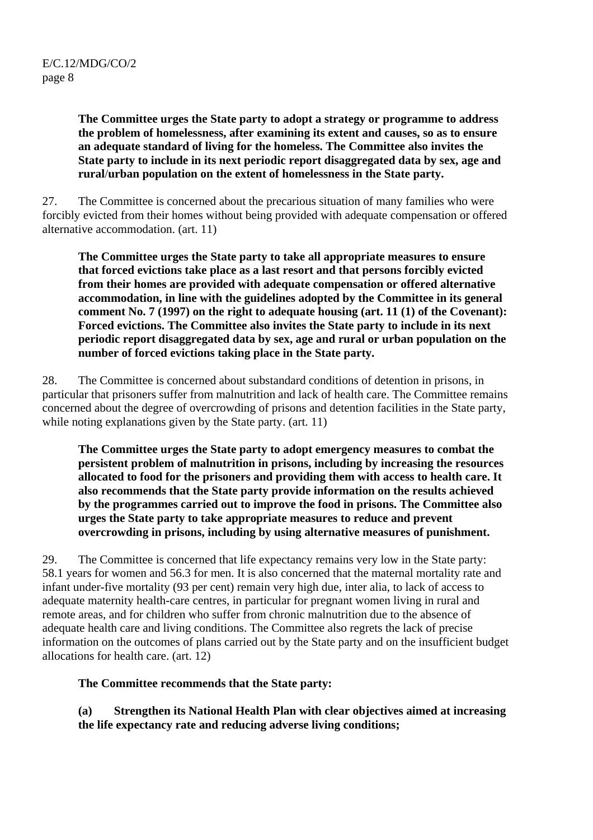**The Committee urges the State party to adopt a strategy or programme to address the problem of homelessness, after examining its extent and causes, so as to ensure an adequate standard of living for the homeless. The Committee also invites the State party to include in its next periodic report disaggregated data by sex, age and rural**/**urban population on the extent of homelessness in the State party.** 

27. The Committee is concerned about the precarious situation of many families who were forcibly evicted from their homes without being provided with adequate compensation or offered alternative accommodation. (art. 11)

**The Committee urges the State party to take all appropriate measures to ensure that forced evictions take place as a last resort and that persons forcibly evicted from their homes are provided with adequate compensation or offered alternative accommodation, in line with the guidelines adopted by the Committee in its general comment No. 7 (1997) on the right to adequate housing (art. 11 (1) of the Covenant): Forced evictions. The Committee also invites the State party to include in its next periodic report disaggregated data by sex, age and rural or urban population on the number of forced evictions taking place in the State party.** 

28. The Committee is concerned about substandard conditions of detention in prisons, in particular that prisoners suffer from malnutrition and lack of health care. The Committee remains concerned about the degree of overcrowding of prisons and detention facilities in the State party, while noting explanations given by the State party. (art. 11)

**The Committee urges the State party to adopt emergency measures to combat the persistent problem of malnutrition in prisons, including by increasing the resources allocated to food for the prisoners and providing them with access to health care. It also recommends that the State party provide information on the results achieved by the programmes carried out to improve the food in prisons. The Committee also urges the State party to take appropriate measures to reduce and prevent overcrowding in prisons, including by using alternative measures of punishment.** 

29. The Committee is concerned that life expectancy remains very low in the State party: 58.1 years for women and 56.3 for men. It is also concerned that the maternal mortality rate and infant under-five mortality (93 per cent) remain very high due, inter alia, to lack of access to adequate maternity health-care centres, in particular for pregnant women living in rural and remote areas, and for children who suffer from chronic malnutrition due to the absence of adequate health care and living conditions. The Committee also regrets the lack of precise information on the outcomes of plans carried out by the State party and on the insufficient budget allocations for health care. (art. 12)

**The Committee recommends that the State party:** 

**(a) Strengthen its National Health Plan with clear objectives aimed at increasing the life expectancy rate and reducing adverse living conditions;**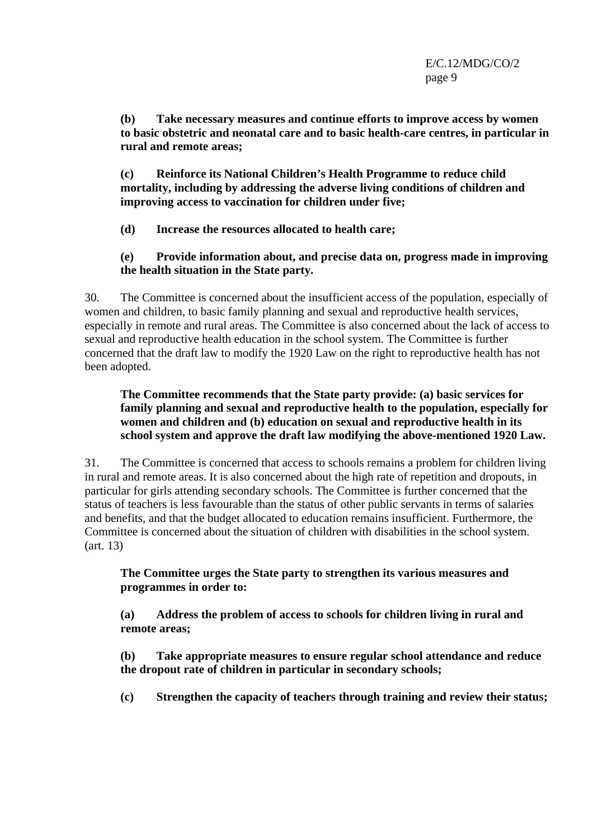**(b) Take necessary measures and continue efforts to improve access by women to basic obstetric and neonatal care and to basic health-care centres, in particular in rural and remote areas;** 

**(c) Reinforce its National Children's Health Programme to reduce child mortality, including by addressing the adverse living conditions of children and improving access to vaccination for children under five;** 

**(d) Increase the resources allocated to health care;** 

## **(e) Provide information about, and precise data on, progress made in improving the health situation in the State party.**

30. The Committee is concerned about the insufficient access of the population, especially of women and children, to basic family planning and sexual and reproductive health services, especially in remote and rural areas. The Committee is also concerned about the lack of access to sexual and reproductive health education in the school system. The Committee is further concerned that the draft law to modify the 1920 Law on the right to reproductive health has not been adopted.

#### **The Committee recommends that the State party provide: (a) basic services for family planning and sexual and reproductive health to the population, especially for women and children and (b) education on sexual and reproductive health in its school system and approve the draft law modifying the above-mentioned 1920 Law.**

31. The Committee is concerned that access to schools remains a problem for children living in rural and remote areas. It is also concerned about the high rate of repetition and dropouts, in particular for girls attending secondary schools. The Committee is further concerned that the status of teachers is less favourable than the status of other public servants in terms of salaries and benefits, and that the budget allocated to education remains insufficient. Furthermore, the Committee is concerned about the situation of children with disabilities in the school system. (art. 13)

#### **The Committee urges the State party to strengthen its various measures and programmes in order to:**

**(a) Address the problem of access to schools for children living in rural and remote areas;** 

**(b) Take appropriate measures to ensure regular school attendance and reduce the dropout rate of children in particular in secondary schools;** 

**(c) Strengthen the capacity of teachers through training and review their status;**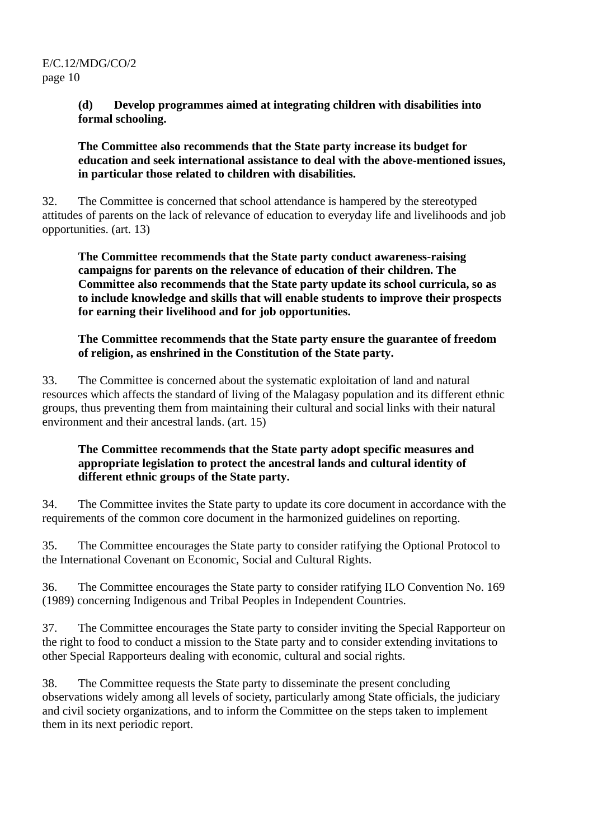#### **(d) Develop programmes aimed at integrating children with disabilities into formal schooling.**

**The Committee also recommends that the State party increase its budget for education and seek international assistance to deal with the above-mentioned issues, in particular those related to children with disabilities.**

32. The Committee is concerned that school attendance is hampered by the stereotyped attitudes of parents on the lack of relevance of education to everyday life and livelihoods and job opportunities. (art. 13)

**The Committee recommends that the State party conduct awareness-raising campaigns for parents on the relevance of education of their children. The Committee also recommends that the State party update its school curricula, so as to include knowledge and skills that will enable students to improve their prospects for earning their livelihood and for job opportunities.** 

#### **The Committee recommends that the State party ensure the guarantee of freedom of religion, as enshrined in the Constitution of the State party.**

33. The Committee is concerned about the systematic exploitation of land and natural resources which affects the standard of living of the Malagasy population and its different ethnic groups, thus preventing them from maintaining their cultural and social links with their natural environment and their ancestral lands. (art. 15)

#### **The Committee recommends that the State party adopt specific measures and appropriate legislation to protect the ancestral lands and cultural identity of different ethnic groups of the State party.**

34. The Committee invites the State party to update its core document in accordance with the requirements of the common core document in the harmonized guidelines on reporting.

35. The Committee encourages the State party to consider ratifying the Optional Protocol to the International Covenant on Economic, Social and Cultural Rights.

36. The Committee encourages the State party to consider ratifying ILO Convention No. 169 (1989) concerning Indigenous and Tribal Peoples in Independent Countries.

37. The Committee encourages the State party to consider inviting the Special Rapporteur on the right to food to conduct a mission to the State party and to consider extending invitations to other Special Rapporteurs dealing with economic, cultural and social rights.

38. The Committee requests the State party to disseminate the present concluding observations widely among all levels of society, particularly among State officials, the judiciary and civil society organizations, and to inform the Committee on the steps taken to implement them in its next periodic report.